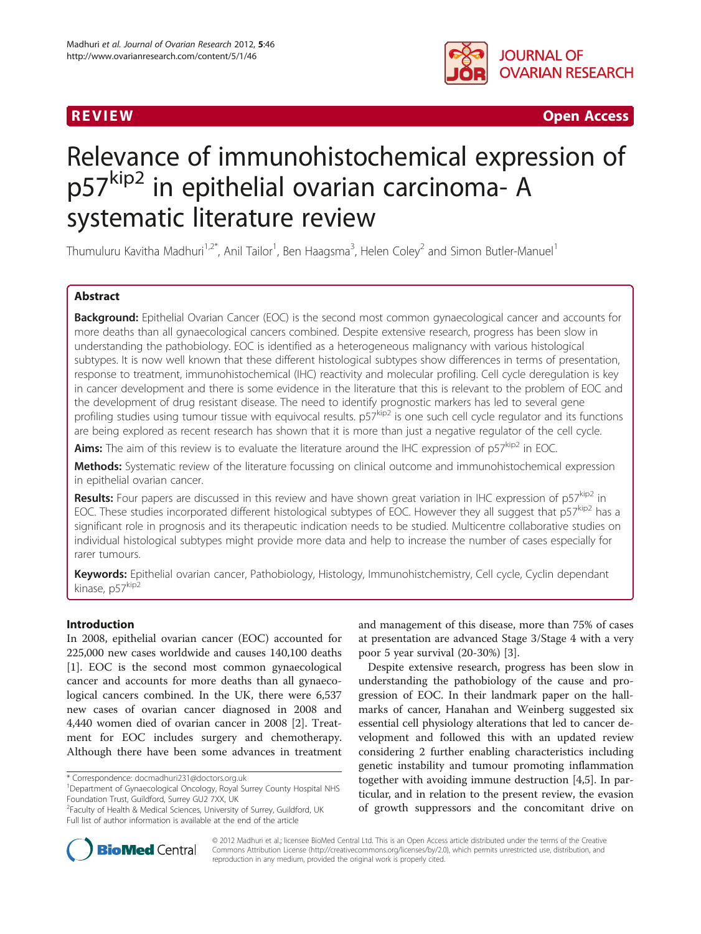



R EVI EW Open Access

# Relevance of immunohistochemical expression of p57<sup>kip2</sup> in epithelial ovarian carcinoma- A systematic literature review

Thumuluru Kavitha Madhuri<sup>1,2\*</sup>, Anil Tailor<sup>1</sup>, Ben Haagsma<sup>3</sup>, Helen Coley<sup>2</sup> and Simon Butler-Manuel<sup>1</sup>

# Abstract

Background: Epithelial Ovarian Cancer (EOC) is the second most common gynaecological cancer and accounts for more deaths than all gynaecological cancers combined. Despite extensive research, progress has been slow in understanding the pathobiology. EOC is identified as a heterogeneous malignancy with various histological subtypes. It is now well known that these different histological subtypes show differences in terms of presentation, response to treatment, immunohistochemical (IHC) reactivity and molecular profiling. Cell cycle deregulation is key in cancer development and there is some evidence in the literature that this is relevant to the problem of EOC and the development of drug resistant disease. The need to identify prognostic markers has led to several gene profiling studies using tumour tissue with equivocal results. p57kip2 is one such cell cycle regulator and its functions are being explored as recent research has shown that it is more than just a negative regulator of the cell cycle.

Aims: The aim of this review is to evaluate the literature around the IHC expression of p57<sup>kip2</sup> in EOC.

Methods: Systematic review of the literature focussing on clinical outcome and immunohistochemical expression in epithelial ovarian cancer.

Results: Four papers are discussed in this review and have shown great variation in IHC expression of p57<sup>kip2</sup> in EOC. These studies incorporated different histological subtypes of EOC. However they all suggest that  $p57^{kip2}$  has a significant role in prognosis and its therapeutic indication needs to be studied. Multicentre collaborative studies on individual histological subtypes might provide more data and help to increase the number of cases especially for rarer tumours.

Keywords: Epithelial ovarian cancer, Pathobiology, Histology, Immunohistchemistry, Cell cycle, Cyclin dependant kinase, p57kip<sup>2</sup>

# Introduction

In 2008, epithelial ovarian cancer (EOC) accounted for 225,000 new cases worldwide and causes 140,100 deaths [[1\]](#page-7-0). EOC is the second most common gynaecological cancer and accounts for more deaths than all gynaecological cancers combined. In the UK, there were 6,537 new cases of ovarian cancer diagnosed in 2008 and 4,440 women died of ovarian cancer in 2008 [\[2\]](#page-7-0). Treatment for EOC includes surgery and chemotherapy. Although there have been some advances in treatment

\* Correspondence: [docmadhuri231@doctors.org.uk](mailto:docmadhuri231@doctors.org.uk) <sup>1</sup>

and management of this disease, more than 75% of cases at presentation are advanced Stage 3/Stage 4 with a very poor 5 year survival (20-30%) [\[3](#page-7-0)].

Despite extensive research, progress has been slow in understanding the pathobiology of the cause and progression of EOC. In their landmark paper on the hallmarks of cancer, Hanahan and Weinberg suggested six essential cell physiology alterations that led to cancer development and followed this with an updated review considering 2 further enabling characteristics including genetic instability and tumour promoting inflammation together with avoiding immune destruction [[4,5\]](#page-7-0). In particular, and in relation to the present review, the evasion of growth suppressors and the concomitant drive on



© 2012 Madhuri et al.; licensee BioMed Central Ltd. This is an Open Access article distributed under the terms of the Creative Commons Attribution License [\(http://creativecommons.org/licenses/by/2.0\)](http://creativecommons.org/licenses/by/2.0), which permits unrestricted use, distribution, and reproduction in any medium, provided the original work is properly cited.

Department of Gynaecological Oncology, Royal Surrey County Hospital NHS Foundation Trust, Guildford, Surrey GU2 7XX, UK

<sup>&</sup>lt;sup>2</sup> Faculty of Health & Medical Sciences, University of Surrey, Guildford, UK Full list of author information is available at the end of the article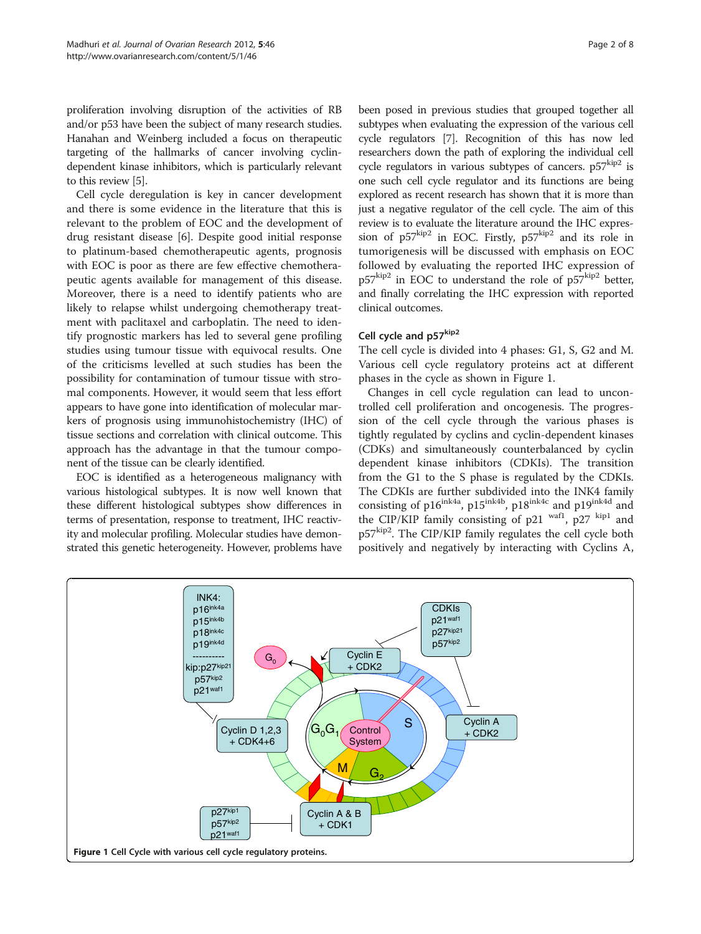proliferation involving disruption of the activities of RB and/or p53 have been the subject of many research studies. Hanahan and Weinberg included a focus on therapeutic targeting of the hallmarks of cancer involving cyclindependent kinase inhibitors, which is particularly relevant to this review [\[5](#page-7-0)].

Cell cycle deregulation is key in cancer development and there is some evidence in the literature that this is relevant to the problem of EOC and the development of drug resistant disease [\[6\]](#page-7-0). Despite good initial response to platinum-based chemotherapeutic agents, prognosis with EOC is poor as there are few effective chemotherapeutic agents available for management of this disease. Moreover, there is a need to identify patients who are likely to relapse whilst undergoing chemotherapy treatment with paclitaxel and carboplatin. The need to identify prognostic markers has led to several gene profiling studies using tumour tissue with equivocal results. One of the criticisms levelled at such studies has been the possibility for contamination of tumour tissue with stromal components. However, it would seem that less effort appears to have gone into identification of molecular markers of prognosis using immunohistochemistry (IHC) of tissue sections and correlation with clinical outcome. This approach has the advantage in that the tumour component of the tissue can be clearly identified.

EOC is identified as a heterogeneous malignancy with various histological subtypes. It is now well known that these different histological subtypes show differences in terms of presentation, response to treatment, IHC reactivity and molecular profiling. Molecular studies have demonstrated this genetic heterogeneity. However, problems have been posed in previous studies that grouped together all subtypes when evaluating the expression of the various cell cycle regulators [\[7\]](#page-7-0). Recognition of this has now led researchers down the path of exploring the individual cell cycle regulators in various subtypes of cancers.  $p57^{kip2}$  is one such cell cycle regulator and its functions are being explored as recent research has shown that it is more than just a negative regulator of the cell cycle. The aim of this review is to evaluate the literature around the IHC expression of  $p57^{kip2}$  in EOC. Firstly,  $p57^{kip2}$  and its role in tumorigenesis will be discussed with emphasis on EOC followed by evaluating the reported IHC expression of p57kip2 in EOC to understand the role of p57kip2 better, and finally correlating the IHC expression with reported clinical outcomes.

## Cell cycle and p57<sup>kip2</sup>

The cell cycle is divided into 4 phases: G1, S, G2 and M. Various cell cycle regulatory proteins act at different phases in the cycle as shown in Figure 1.

Changes in cell cycle regulation can lead to uncontrolled cell proliferation and oncogenesis. The progression of the cell cycle through the various phases is tightly regulated by cyclins and cyclin-dependent kinases (CDKs) and simultaneously counterbalanced by cyclin dependent kinase inhibitors (CDKIs). The transition from the G1 to the S phase is regulated by the CDKIs. The CDKIs are further subdivided into the INK4 family consisting of  $p16^{ink4a}$ ,  $p15^{ink4b}$ ,  $p18^{ink4c}$  and  $p19^{ink4d}$  and the CIP/KIP family consisting of p21 wafl, p27  $\frac{\text{kip1}}{2}$  and p57<sup>kip2</sup>. The CIP/KIP family regulates the cell cycle both positively and negatively by interacting with Cyclins A,

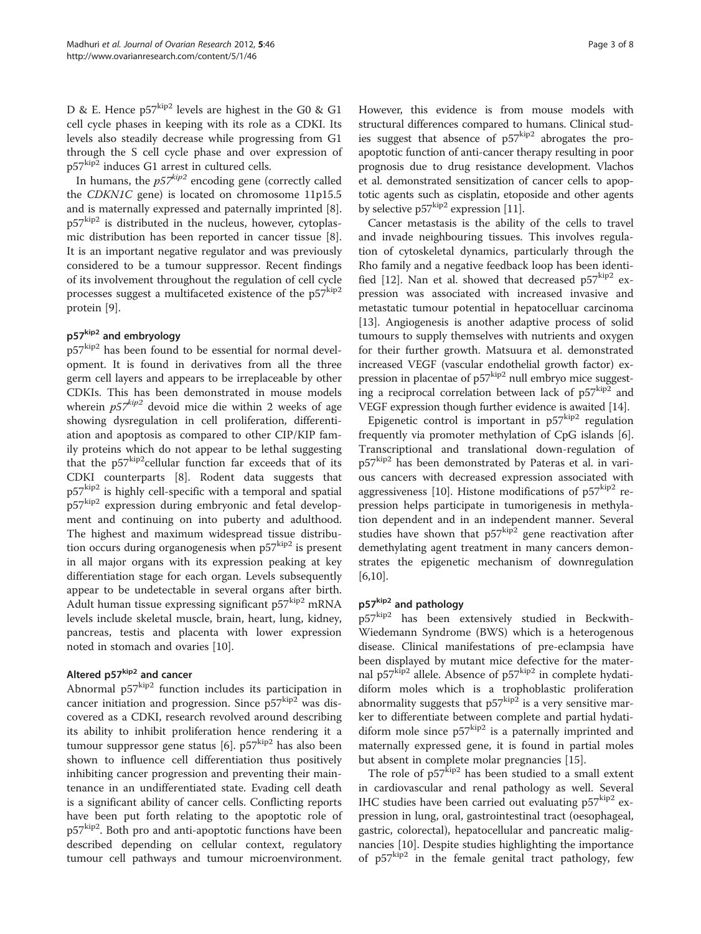D & E. Hence  $p57^{kip2}$  levels are highest in the G0 & G1 cell cycle phases in keeping with its role as a CDKI. Its levels also steadily decrease while progressing from G1 through the S cell cycle phase and over expression of p57kip2 induces G1 arrest in cultured cells.

In humans, the  $p57^{kip2}$  encoding gene (correctly called the CDKN1C gene) is located on chromosome 11p15.5 and is maternally expressed and paternally imprinted [\[8](#page-7-0)]. p57<sup>kip2</sup> is distributed in the nucleus, however, cytoplasmic distribution has been reported in cancer tissue [\[8](#page-7-0)]. It is an important negative regulator and was previously considered to be a tumour suppressor. Recent findings of its involvement throughout the regulation of cell cycle processes suggest a multifaceted existence of the  $p57$ <sup>kip2</sup> protein [\[9](#page-7-0)].

## p57<sup>kip2</sup> and embryology

p57<sup>kip2</sup> has been found to be essential for normal development. It is found in derivatives from all the three germ cell layers and appears to be irreplaceable by other CDKIs. This has been demonstrated in mouse models wherein  $p57^{kip2}$  devoid mice die within 2 weeks of age showing dysregulation in cell proliferation, differentiation and apoptosis as compared to other CIP/KIP family proteins which do not appear to be lethal suggesting that the  $p57^{kip2}$ cellular function far exceeds that of its CDKI counterparts [[8](#page-7-0)]. Rodent data suggests that p57<sup>kip2</sup> is highly cell-specific with a temporal and spatial p57<sup>kip2</sup> expression during embryonic and fetal development and continuing on into puberty and adulthood. The highest and maximum widespread tissue distribution occurs during organogenesis when  $p57^{kip2}$  is present in all major organs with its expression peaking at key differentiation stage for each organ. Levels subsequently appear to be undetectable in several organs after birth. Adult human tissue expressing significant p57<sup>kip2</sup> mRNA levels include skeletal muscle, brain, heart, lung, kidney, pancreas, testis and placenta with lower expression noted in stomach and ovaries [[10](#page-7-0)].

# Altered p57kip2 and cancer

Abnormal p57kip<sup>2</sup> function includes its participation in cancer initiation and progression. Since  $p57^{kip2}$  was discovered as a CDKI, research revolved around describing its ability to inhibit proliferation hence rendering it a tumour suppressor gene status  $[6]$  $[6]$ . p57 $kip<sup>2</sup>$  has also been shown to influence cell differentiation thus positively inhibiting cancer progression and preventing their maintenance in an undifferentiated state. Evading cell death is a significant ability of cancer cells. Conflicting reports have been put forth relating to the apoptotic role of p57<sup>kip2</sup>. Both pro and anti-apoptotic functions have been described depending on cellular context, regulatory tumour cell pathways and tumour microenvironment. However, this evidence is from mouse models with structural differences compared to humans. Clinical studies suggest that absence of  $p57^{kip2}$  abrogates the proapoptotic function of anti-cancer therapy resulting in poor prognosis due to drug resistance development. Vlachos et al. demonstrated sensitization of cancer cells to apoptotic agents such as cisplatin, etoposide and other agents by selective  $p57^{kip2}$  expression [\[11\]](#page-7-0).

Cancer metastasis is the ability of the cells to travel and invade neighbouring tissues. This involves regulation of cytoskeletal dynamics, particularly through the Rho family and a negative feedback loop has been identi-fied [\[12](#page-7-0)]. Nan et al. showed that decreased  $p57^{kip2}$  expression was associated with increased invasive and metastatic tumour potential in hepatocelluar carcinoma [[13\]](#page-7-0). Angiogenesis is another adaptive process of solid tumours to supply themselves with nutrients and oxygen for their further growth. Matsuura et al. demonstrated increased VEGF (vascular endothelial growth factor) expression in placentae of  $p57^{kip2}$  null embryo mice suggesting a reciprocal correlation between lack of  $p57^{kip2}$  and VEGF expression though further evidence is awaited [\[14\]](#page-7-0).

Epigenetic control is important in  $p57^{kip2}$  regulation frequently via promoter methylation of CpG islands [\[6](#page-7-0)]. Transcriptional and translational down-regulation of p57<sup>kip2</sup> has been demonstrated by Pateras et al. in various cancers with decreased expression associated with aggressiveness [[10\]](#page-7-0). Histone modifications of  $p57^{kip2}$  repression helps participate in tumorigenesis in methylation dependent and in an independent manner. Several studies have shown that  $p57^{kip2}$  gene reactivation after demethylating agent treatment in many cancers demonstrates the epigenetic mechanism of downregulation [[6,10\]](#page-7-0).

# p57kip2 and pathology

p57<sup>kip2</sup> has been extensively studied in Beckwith-Wiedemann Syndrome (BWS) which is a heterogenous disease. Clinical manifestations of pre-eclampsia have been displayed by mutant mice defective for the maternal p57 $kip2$  allele. Absence of p57 $kip2$  in complete hydatidiform moles which is a trophoblastic proliferation abnormality suggests that  $p57^{kip2}$  is a very sensitive marker to differentiate between complete and partial hydatidiform mole since  $p57^{kip2}$  is a paternally imprinted and maternally expressed gene, it is found in partial moles but absent in complete molar pregnancies [\[15\]](#page-7-0).

The role of  $p57^{kip2}$  has been studied to a small extent in cardiovascular and renal pathology as well. Several IHC studies have been carried out evaluating  $p57^{kip2}$  expression in lung, oral, gastrointestinal tract (oesophageal, gastric, colorectal), hepatocellular and pancreatic malignancies [\[10](#page-7-0)]. Despite studies highlighting the importance of  $p57^{kip2}$  in the female genital tract pathology, few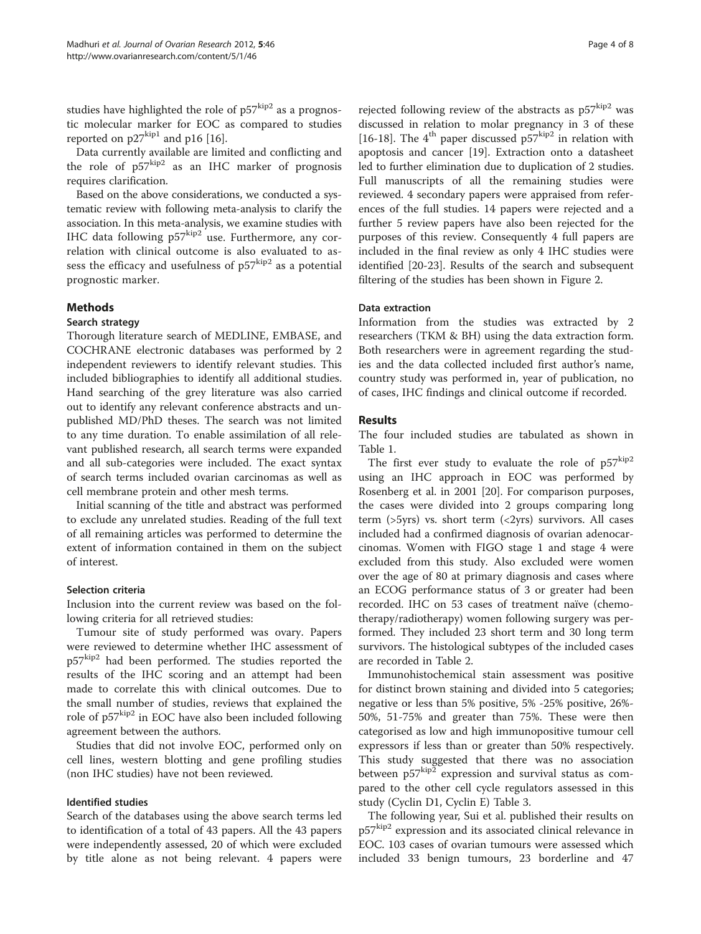studies have highlighted the role of  $p57^{kip2}$  as a prognostic molecular marker for EOC as compared to studies reported on  $p27^{kip1}$  and p16 [\[16](#page-7-0)].

Data currently available are limited and conflicting and the role of  $p57^{kip2}$  as an IHC marker of prognosis requires clarification.

Based on the above considerations, we conducted a systematic review with following meta-analysis to clarify the association. In this meta-analysis, we examine studies with IHC data following  $p57^{kip2}$  use. Furthermore, any correlation with clinical outcome is also evaluated to assess the efficacy and usefulness of  $p57^{kip2}$  as a potential prognostic marker.

## Methods

#### Search strategy

Thorough literature search of MEDLINE, EMBASE, and COCHRANE electronic databases was performed by 2 independent reviewers to identify relevant studies. This included bibliographies to identify all additional studies. Hand searching of the grey literature was also carried out to identify any relevant conference abstracts and unpublished MD/PhD theses. The search was not limited to any time duration. To enable assimilation of all relevant published research, all search terms were expanded and all sub-categories were included. The exact syntax of search terms included ovarian carcinomas as well as cell membrane protein and other mesh terms.

Initial scanning of the title and abstract was performed to exclude any unrelated studies. Reading of the full text of all remaining articles was performed to determine the extent of information contained in them on the subject of interest.

## Selection criteria

Inclusion into the current review was based on the following criteria for all retrieved studies:

Tumour site of study performed was ovary. Papers were reviewed to determine whether IHC assessment of p57<sup>kip2</sup> had been performed. The studies reported the results of the IHC scoring and an attempt had been made to correlate this with clinical outcomes. Due to the small number of studies, reviews that explained the role of p57<sup>kip2</sup> in EOC have also been included following agreement between the authors.

Studies that did not involve EOC, performed only on cell lines, western blotting and gene profiling studies (non IHC studies) have not been reviewed.

#### Identified studies

Search of the databases using the above search terms led to identification of a total of 43 papers. All the 43 papers were independently assessed, 20 of which were excluded by title alone as not being relevant. 4 papers were

rejected following review of the abstracts as  $p57^{kip2}$  was discussed in relation to molar pregnancy in 3 of these [[16-18](#page-7-0)]. The  $4^{th}$  paper discussed p57 $\frac{\text{kip}}{2}$  in relation with apoptosis and cancer [[19](#page-7-0)]. Extraction onto a datasheet led to further elimination due to duplication of 2 studies. Full manuscripts of all the remaining studies were reviewed. 4 secondary papers were appraised from references of the full studies. 14 papers were rejected and a further 5 review papers have also been rejected for the purposes of this review. Consequently 4 full papers are included in the final review as only 4 IHC studies were identified [\[20-23](#page-7-0)]. Results of the search and subsequent filtering of the studies has been shown in Figure [2](#page-4-0).

#### Data extraction

Information from the studies was extracted by 2 researchers (TKM & BH) using the data extraction form. Both researchers were in agreement regarding the studies and the data collected included first author's name, country study was performed in, year of publication, no of cases, IHC findings and clinical outcome if recorded.

## Results

The four included studies are tabulated as shown in Table [1.](#page-4-0)

The first ever study to evaluate the role of  $p57^{kip2}$ using an IHC approach in EOC was performed by Rosenberg et al. in 2001 [\[20](#page-7-0)]. For comparison purposes, the cases were divided into 2 groups comparing long term ( $>5yrs$ ) vs. short term ( $<2yrs$ ) survivors. All cases included had a confirmed diagnosis of ovarian adenocarcinomas. Women with FIGO stage 1 and stage 4 were excluded from this study. Also excluded were women over the age of 80 at primary diagnosis and cases where an ECOG performance status of 3 or greater had been recorded. IHC on 53 cases of treatment naïve (chemotherapy/radiotherapy) women following surgery was performed. They included 23 short term and 30 long term survivors. The histological subtypes of the included cases are recorded in Table [2](#page-5-0).

Immunohistochemical stain assessment was positive for distinct brown staining and divided into 5 categories; negative or less than 5% positive, 5% -25% positive, 26%- 50%, 51-75% and greater than 75%. These were then categorised as low and high immunopositive tumour cell expressors if less than or greater than 50% respectively. This study suggested that there was no association between  $p57^{kip2}$  expression and survival status as compared to the other cell cycle regulators assessed in this study (Cyclin D1, Cyclin E) Table [3](#page-5-0).

The following year, Sui et al. published their results on p57kip2 expression and its associated clinical relevance in EOC. 103 cases of ovarian tumours were assessed which included 33 benign tumours, 23 borderline and 47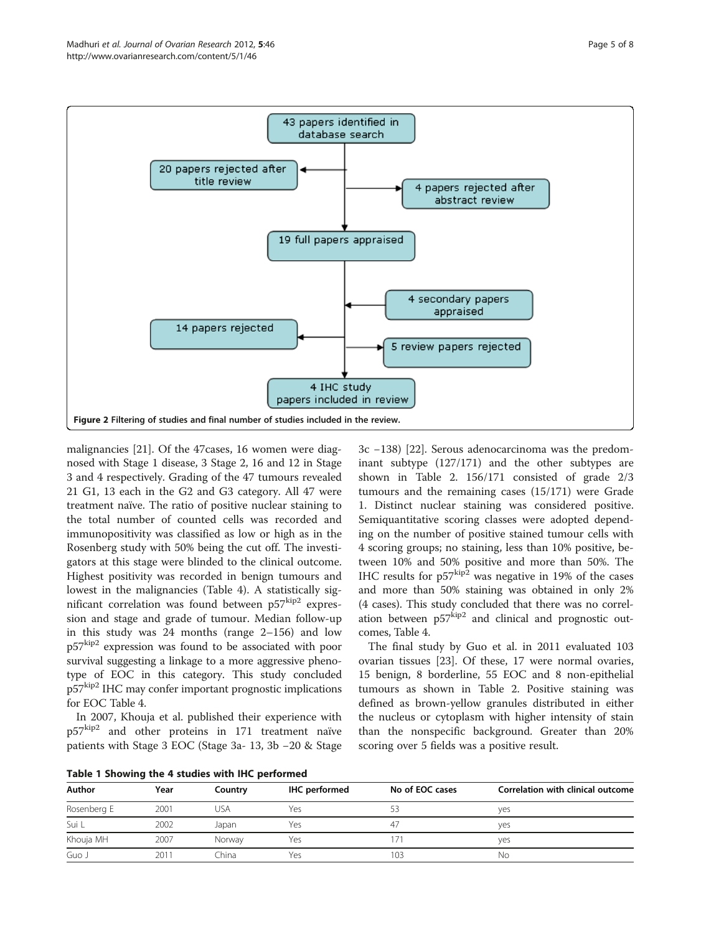<span id="page-4-0"></span>

malignancies [[21\]](#page-7-0). Of the 47cases, 16 women were diagnosed with Stage 1 disease, 3 Stage 2, 16 and 12 in Stage 3 and 4 respectively. Grading of the 47 tumours revealed 21 G1, 13 each in the G2 and G3 category. All 47 were treatment naïve. The ratio of positive nuclear staining to the total number of counted cells was recorded and immunopositivity was classified as low or high as in the Rosenberg study with 50% being the cut off. The investigators at this stage were blinded to the clinical outcome. Highest positivity was recorded in benign tumours and lowest in the malignancies (Table [4\)](#page-6-0). A statistically significant correlation was found between p57kip2 expression and stage and grade of tumour. Median follow-up in this study was 24 months (range 2–156) and low p57kip2 expression was found to be associated with poor survival suggesting a linkage to a more aggressive phenotype of EOC in this category. This study concluded p57kip2 IHC may confer important prognostic implications for EOC Table [4](#page-6-0).

In 2007, Khouja et al. published their experience with  $p57^{kip2}$  and other proteins in 171 treatment naïve patients with Stage 3 EOC (Stage 3a- 13, 3b −20 & Stage

Table 1 Showing the 4 studies with IHC performed

3c −138) [[22\]](#page-7-0). Serous adenocarcinoma was the predominant subtype (127/171) and the other subtypes are shown in Table [2](#page-5-0). 156/171 consisted of grade 2/3 tumours and the remaining cases (15/171) were Grade 1. Distinct nuclear staining was considered positive. Semiquantitative scoring classes were adopted depending on the number of positive stained tumour cells with 4 scoring groups; no staining, less than 10% positive, between 10% and 50% positive and more than 50%. The IHC results for  $p57^{kip2}$  was negative in 19% of the cases and more than 50% staining was obtained in only 2% (4 cases). This study concluded that there was no correlation between  $p57$ <sup>kip2</sup> and clinical and prognostic outcomes, Table [4.](#page-6-0)

The final study by Guo et al. in 2011 evaluated 103 ovarian tissues [[23](#page-7-0)]. Of these, 17 were normal ovaries, 15 benign, 8 borderline, 55 EOC and 8 non-epithelial tumours as shown in Table [2](#page-5-0). Positive staining was defined as brown-yellow granules distributed in either the nucleus or cytoplasm with higher intensity of stain than the nonspecific background. Greater than 20% scoring over 5 fields was a positive result.

| Author      | Year | Country | IHC performed | No of EOC cases | Correlation with clinical outcome |
|-------------|------|---------|---------------|-----------------|-----------------------------------|
| Rosenberg E | 2001 | usa     | Yes           |                 | yes                               |
| Sui L       | 2002 | Japan   | Yes           |                 | ves                               |
| Khouja MH   | 2007 | Norway  | Yes           |                 | yes                               |
| Guo J       | 2011 | China   | Yes           | 103             | No                                |
|             |      |         |               |                 |                                   |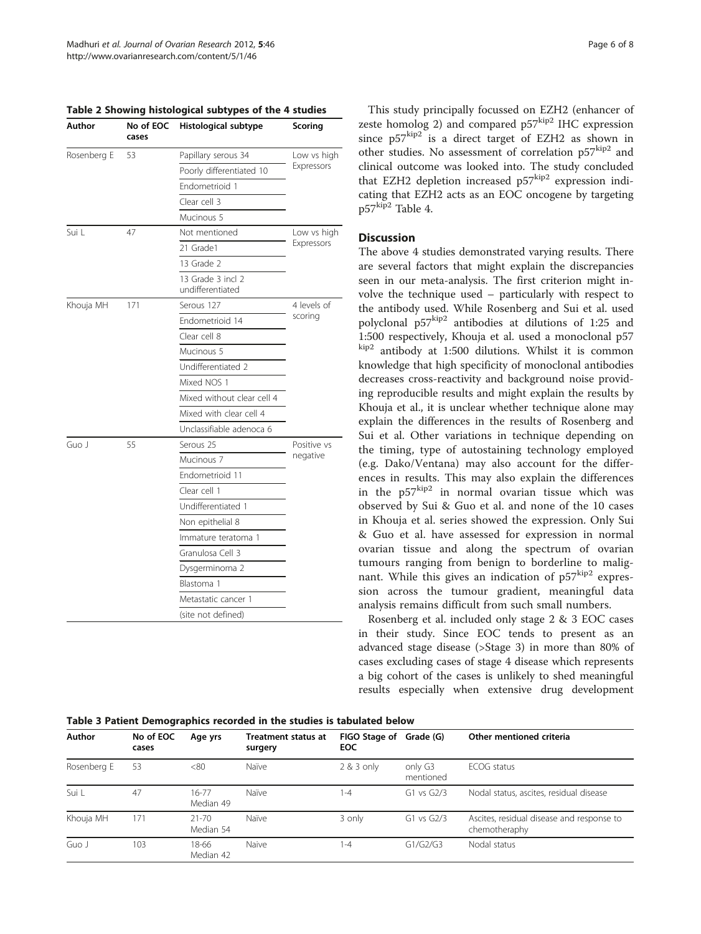<span id="page-5-0"></span>

|  |  | Table 2 Showing histological subtypes of the 4 studies |  |  |  |
|--|--|--------------------------------------------------------|--|--|--|
|--|--|--------------------------------------------------------|--|--|--|

| Author      | No of EOC<br>cases | Histological subtype                  | Scoring     |  |
|-------------|--------------------|---------------------------------------|-------------|--|
| Rosenberg E | 53                 | Papillary serous 34                   | Low vs high |  |
|             |                    | Poorly differentiated 10              | Expressors  |  |
|             |                    | Endometrioid 1                        |             |  |
|             |                    | Clear cell 3                          |             |  |
|             |                    | Mucinous 5                            |             |  |
| Sui L       | 47                 | Not mentioned                         | Low vs high |  |
|             |                    | 21 Grade1                             | Expressors  |  |
|             |                    | 13 Grade 2                            |             |  |
|             |                    | 13 Grade 3 incl 2<br>undifferentiated |             |  |
| Khouja MH   | 171                | Serous 127                            | 4 levels of |  |
|             |                    | Endometrioid 14                       | scoring     |  |
|             |                    | Clear cell 8                          |             |  |
|             |                    | Mucinous 5                            |             |  |
|             |                    | Undifferentiated 2                    |             |  |
|             |                    | Mixed NOS 1                           |             |  |
|             |                    | Mixed without clear cell 4            |             |  |
|             |                    | Mixed with clear cell 4               |             |  |
|             |                    | Unclassifiable adenoca 6              |             |  |
| Guo I       | 55                 | Serous 25                             | Positive vs |  |
|             |                    | Mucinous 7                            | negative    |  |
|             |                    | Endometrioid 11                       |             |  |
|             |                    | Clear cell 1                          |             |  |
|             |                    | Undifferentiated 1                    |             |  |
|             |                    | Non epithelial 8                      |             |  |
|             |                    | Immature teratoma 1                   |             |  |
|             |                    | Granulosa Cell 3                      |             |  |
|             |                    | Dysgerminoma 2                        |             |  |
|             |                    | Blastoma 1                            |             |  |
|             |                    | Metastatic cancer 1                   |             |  |
|             |                    | (site not defined)                    |             |  |

This study principally focussed on EZH2 (enhancer of zeste homolog 2) and compared  $p57^{kip2}$  IHC expression since  $p57^{kip2}$  is a direct target of EZH2 as shown in other studies. No assessment of correlation p57<sub>kip2</sub> and clinical outcome was looked into. The study concluded that EZH2 depletion increased  $p57^{kip2}$  expression indicating that EZH2 acts as an EOC oncogene by targeting p57kip2 Table [4.](#page-6-0)

## **Discussion**

The above 4 studies demonstrated varying results. There are several factors that might explain the discrepancies seen in our meta-analysis. The first criterion might involve the technique used – particularly with respect to the antibody used. While Rosenberg and Sui et al. used polyclonal p57<sup>kip2</sup> antibodies at dilutions of 1:25 and 1:500 respectively, Khouja et al. used a monoclonal p57 kip2 antibody at 1:500 dilutions. Whilst it is common knowledge that high specificity of monoclonal antibodies decreases cross-reactivity and background noise providing reproducible results and might explain the results by Khouja et al., it is unclear whether technique alone may explain the differences in the results of Rosenberg and Sui et al. Other variations in technique depending on the timing, type of autostaining technology employed (e.g. Dako/Ventana) may also account for the differences in results. This may also explain the differences in the  $p57^{\text{kip2}}$  in normal ovarian tissue which was observed by Sui & Guo et al. and none of the 10 cases in Khouja et al. series showed the expression. Only Sui & Guo et al. have assessed for expression in normal ovarian tissue and along the spectrum of ovarian tumours ranging from benign to borderline to malignant. While this gives an indication of  $p57<sup>kip2</sup>$  expression across the tumour gradient, meaningful data analysis remains difficult from such small numbers.

Rosenberg et al. included only stage 2 & 3 EOC cases in their study. Since EOC tends to present as an advanced stage disease (>Stage 3) in more than 80% of cases excluding cases of stage 4 disease which represents a big cohort of the cases is unlikely to shed meaningful results especially when extensive drug development

|  |  |  |  | Table 3 Patient Demographics recorded in the studies is tabulated below |
|--|--|--|--|-------------------------------------------------------------------------|
|--|--|--|--|-------------------------------------------------------------------------|

| Author      | No of EOC<br>cases | Age yrs                | <b>Treatment status at</b><br>surgery | FIGO Stage of Grade (G)<br><b>EOC</b> |                      | Other mentioned criteria                                   |
|-------------|--------------------|------------------------|---------------------------------------|---------------------------------------|----------------------|------------------------------------------------------------|
| Rosenberg E | 53                 | <80                    | Naïve                                 | 2 & 3 only                            | only G3<br>mentioned | ECOG status                                                |
| Sui L       | 47                 | $16 - 77$<br>Median 49 | Naïve                                 | $1 - 4$                               | $G1$ vs $G2/3$       | Nodal status, ascites, residual disease                    |
| Khouja MH   | 171                | $21 - 70$<br>Median 54 | Naïve                                 | 3 only                                | $G1$ vs $G2/3$       | Ascites, residual disease and response to<br>chemotheraphy |
| Guo J       | 103                | 18-66<br>Median 42     | Naive                                 | $1 - 4$                               | G1/G2/G3             | Nodal status                                               |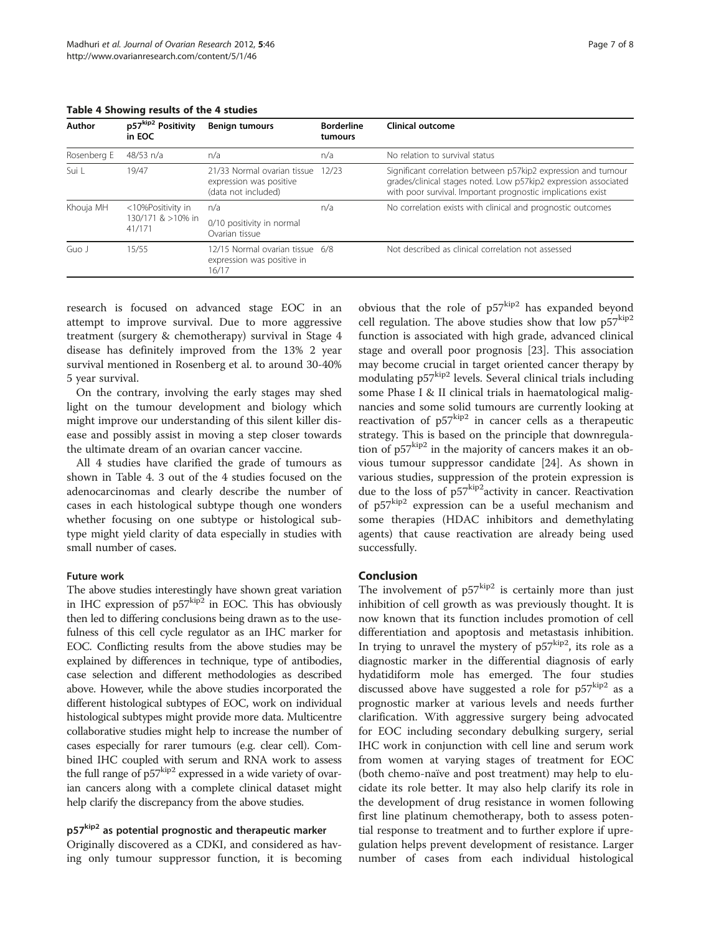| Author      | p57kip2 Positivity<br>in EOC | <b>Benign tumours</b>                                                         | <b>Borderline</b><br>tumours | Clinical outcome                                                                                                                                                                                |
|-------------|------------------------------|-------------------------------------------------------------------------------|------------------------------|-------------------------------------------------------------------------------------------------------------------------------------------------------------------------------------------------|
| Rosenberg E | 48/53 n/a                    | n/a                                                                           | n/a                          | No relation to survival status                                                                                                                                                                  |
| Sui L       | 19/47                        | 21/33 Normal ovarian tissue<br>expression was positive<br>(data not included) | 12/23                        | Significant correlation between p57kip2 expression and tumour<br>grades/clinical stages noted. Low p57kip2 expression associated<br>with poor survival. Important prognostic implications exist |
| Khouja MH   | <10%Positivity in            | n/a                                                                           | n/a                          | No correlation exists with clinical and prognostic outcomes                                                                                                                                     |
|             | 130/171 & >10% in<br>41/171  | 0/10 positivity in normal<br>Ovarian tissue                                   |                              |                                                                                                                                                                                                 |
| Guo J       | 15/55                        | 12/15 Normal ovarian tissue 6/8<br>expression was positive in<br>16/17        |                              | Not described as clinical correlation not assessed                                                                                                                                              |

#### <span id="page-6-0"></span>Table 4 Showing results of the 4 studies

research is focused on advanced stage EOC in an attempt to improve survival. Due to more aggressive treatment (surgery & chemotherapy) survival in Stage 4 disease has definitely improved from the 13% 2 year survival mentioned in Rosenberg et al. to around 30-40% 5 year survival.

On the contrary, involving the early stages may shed light on the tumour development and biology which might improve our understanding of this silent killer disease and possibly assist in moving a step closer towards the ultimate dream of an ovarian cancer vaccine.

All 4 studies have clarified the grade of tumours as shown in Table 4. 3 out of the 4 studies focused on the adenocarcinomas and clearly describe the number of cases in each histological subtype though one wonders whether focusing on one subtype or histological subtype might yield clarity of data especially in studies with small number of cases.

#### Future work

The above studies interestingly have shown great variation in IHC expression of  $p57^{kip2}$  in EOC. This has obviously then led to differing conclusions being drawn as to the usefulness of this cell cycle regulator as an IHC marker for EOC. Conflicting results from the above studies may be explained by differences in technique, type of antibodies, case selection and different methodologies as described above. However, while the above studies incorporated the different histological subtypes of EOC, work on individual histological subtypes might provide more data. Multicentre collaborative studies might help to increase the number of cases especially for rarer tumours (e.g. clear cell). Combined IHC coupled with serum and RNA work to assess the full range of  $p57^{kip2}$  expressed in a wide variety of ovarian cancers along with a complete clinical dataset might help clarify the discrepancy from the above studies.

# p57<sup>kip2</sup> as potential prognostic and therapeutic marker

Originally discovered as a CDKI, and considered as having only tumour suppressor function, it is becoming

obvious that the role of  $p57^{kip2}$  has expanded beyond cell regulation. The above studies show that low  $p57^{kip2}$ function is associated with high grade, advanced clinical stage and overall poor prognosis [[23](#page-7-0)]. This association may become crucial in target oriented cancer therapy by modulating p57<sup>kip2</sup> levels. Several clinical trials including some Phase I & II clinical trials in haematological malignancies and some solid tumours are currently looking at reactivation of  $p57^{kip2}$  in cancer cells as a therapeutic strategy. This is based on the principle that downregulation of  $p57^{kip2}$  in the majority of cancers makes it an obvious tumour suppressor candidate [\[24\]](#page-7-0). As shown in various studies, suppression of the protein expression is due to the loss of  $p57^{kip2}$ activity in cancer. Reactivation of  $p57^{kip2}$  expression can be a useful mechanism and some therapies (HDAC inhibitors and demethylating agents) that cause reactivation are already being used successfully.

## Conclusion

The involvement of  $p57^{kip2}$  is certainly more than just inhibition of cell growth as was previously thought. It is now known that its function includes promotion of cell differentiation and apoptosis and metastasis inhibition. In trying to unravel the mystery of  $p57^{kip2}$ , its role as a diagnostic marker in the differential diagnosis of early hydatidiform mole has emerged. The four studies discussed above have suggested a role for  $p57^{kip2}$  as a prognostic marker at various levels and needs further clarification. With aggressive surgery being advocated for EOC including secondary debulking surgery, serial IHC work in conjunction with cell line and serum work from women at varying stages of treatment for EOC (both chemo-naïve and post treatment) may help to elucidate its role better. It may also help clarify its role in the development of drug resistance in women following first line platinum chemotherapy, both to assess potential response to treatment and to further explore if upregulation helps prevent development of resistance. Larger number of cases from each individual histological